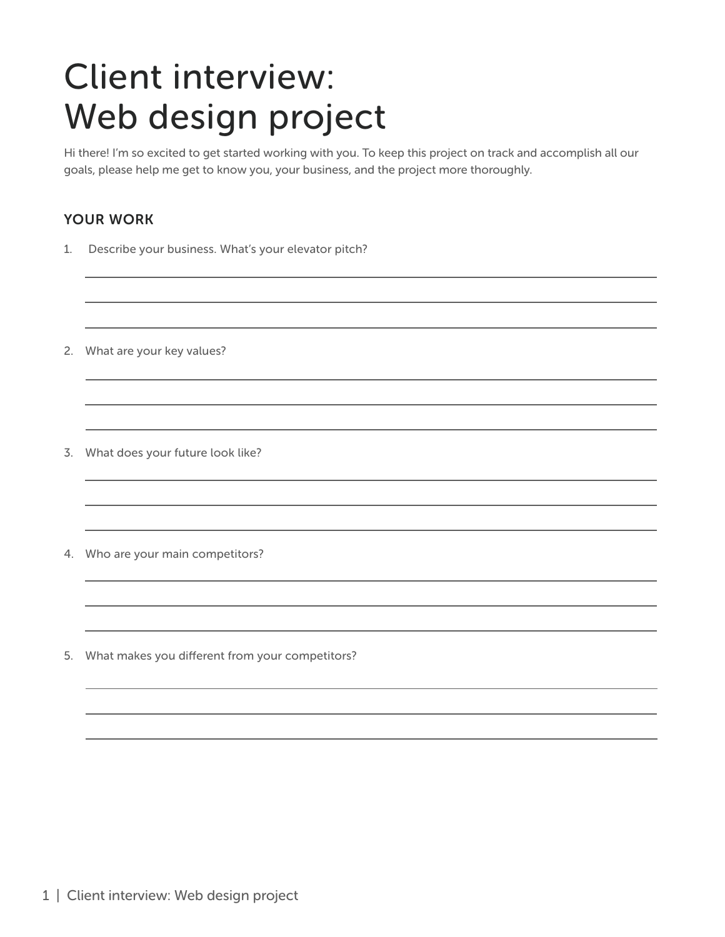# Client interview: Web design project

Hi there! I'm so excited to get started working with you. To keep this project on track and accomplish all our goals, please help me get to know you, your business, and the project more thoroughly.

### YOUR WORK

- 1. Describe your business. What's your elevator pitch?
- 2. What are your key values?
- 3. What does your future look like?
- 4. Who are your main competitors?
- 5. What makes you different from your competitors?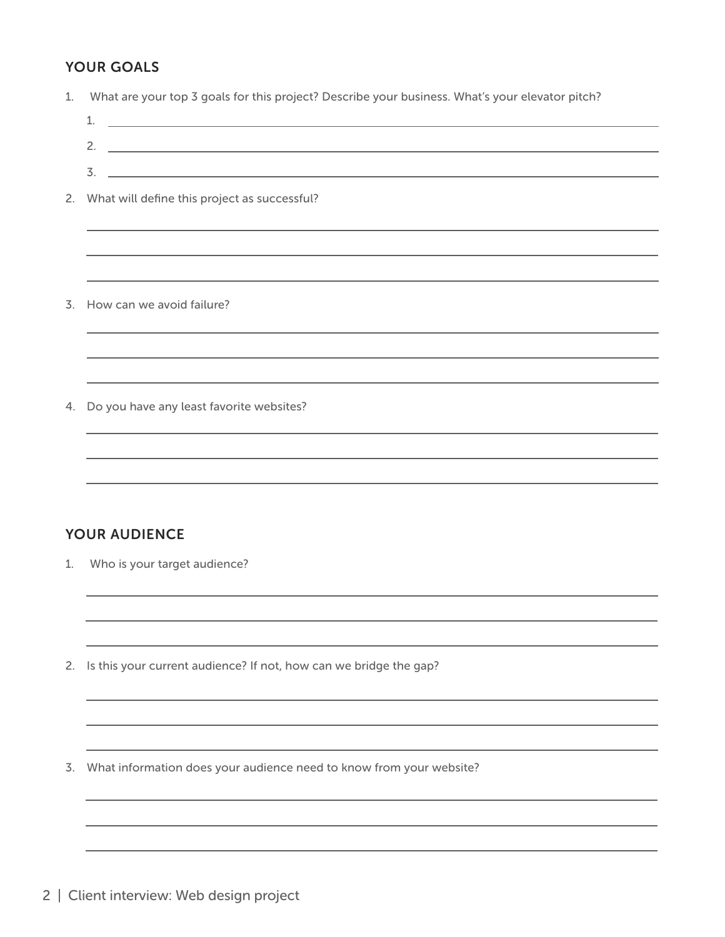## YOUR GOALS

| 1. | What are your top 3 goals for this project? Describe your business. What's your elevator pitch?                              |
|----|------------------------------------------------------------------------------------------------------------------------------|
|    | <u> 1989 - Johann Harry Harry Harry Harry Harry Harry Harry Harry Harry Harry Harry Harry Harry Harry Harry Harry</u><br>1.  |
|    | <u> 1989 - Johann Stoff, deutscher Stoffen und der Stoffen und der Stoffen und der Stoffen und der Stoffen und der</u><br>2. |
|    | 3.<br><u> 1989 - Johann Stoff, deutscher Stoffen und der Stoffen und der Stoffen und der Stoffen und der Stoffen und der</u> |
|    | 2. What will define this project as successful?                                                                              |
|    |                                                                                                                              |
|    |                                                                                                                              |
|    |                                                                                                                              |
| 3. | How can we avoid failure?                                                                                                    |
|    |                                                                                                                              |
|    | <u> 1989 - Johann Stoff, amerikansk politiker (* 1908)</u>                                                                   |
|    |                                                                                                                              |
| 4. | Do you have any least favorite websites?                                                                                     |
|    |                                                                                                                              |
|    |                                                                                                                              |
|    |                                                                                                                              |
|    |                                                                                                                              |
|    | <b>YOUR AUDIENCE</b>                                                                                                         |
| 1. | Who is your target audience?                                                                                                 |
|    |                                                                                                                              |
|    |                                                                                                                              |
|    |                                                                                                                              |
| 2. | Is this your current audience? If not, how can we bridge the gap?                                                            |
|    |                                                                                                                              |
|    |                                                                                                                              |
|    |                                                                                                                              |
| 3. | What information does your audience need to know from your website?                                                          |